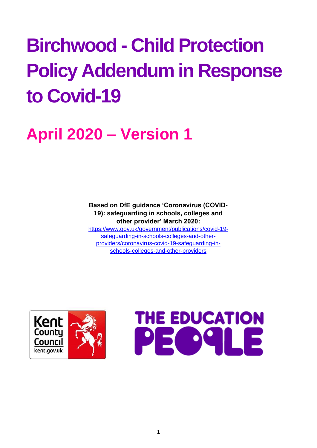# **Birchwood - Child Protection Policy Addendum in Response to Covid-19**

# **April 2020 – Version 1**

**Based on DfE guidance 'Coronavirus (COVID-19): safeguarding in schools, colleges and other provider' March 2020:**  [https://www.gov.uk/government/publications/covid-19](https://www.gov.uk/government/publications/covid-19-safeguarding-in-schools-colleges-and-other-providers/coronavirus-covid-19-safeguarding-in-schools-colleges-and-other-providers) [safeguarding-in-schools-colleges-and-other](https://www.gov.uk/government/publications/covid-19-safeguarding-in-schools-colleges-and-other-providers/coronavirus-covid-19-safeguarding-in-schools-colleges-and-other-providers)[providers/coronavirus-covid-19-safeguarding-in](https://www.gov.uk/government/publications/covid-19-safeguarding-in-schools-colleges-and-other-providers/coronavirus-covid-19-safeguarding-in-schools-colleges-and-other-providers)[schools-colleges-and-other-providers](https://www.gov.uk/government/publications/covid-19-safeguarding-in-schools-colleges-and-other-providers/coronavirus-covid-19-safeguarding-in-schools-colleges-and-other-providers)



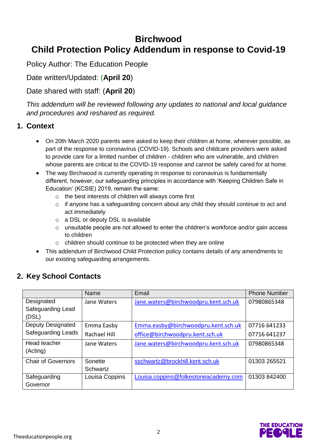# **Birchwood Child Protection Policy Addendum in response to Covid-19**

Policy Author: The Education People

# Date written/Updated: (**April 20**)

# Date shared with staff: (**April 20**)

*This addendum will be reviewed following any updates to national and local guidance and procedures and reshared as required.* 

#### **1. Context**

- On 20th March 2020 parents were asked to keep their children at home, wherever possible, as part of the response to coronavirus (COVID-19). Schools and childcare providers were asked to provide care for a limited number of children - children who are vulnerable, and children whose parents are critical to the COVID-19 response and cannot be safely cared for at home.
- The way Birchwood is currently operating in response to coronavirus is fundamentally different, however, our safeguarding principles in accordance with 'Keeping Children Safe in Education' (KCSIE) 2019, remain the same:
	- o the best interests of children will always come first
	- o if anyone has a safeguarding concern about any child they should continue to act and act immediately
	- o a DSL or deputy DSL is available
	- o unsuitable people are not allowed to enter the children's workforce and/or gain access to children
	- o children should continue to be protected when they are online
- This addendum of Birchwood Child Protection policy contains details of any amendments to our existing safeguarding arrangements.

# **2. Key School Contacts**

|                           | Name                | Email                                | <b>Phone Number</b> |
|---------------------------|---------------------|--------------------------------------|---------------------|
| Designated                | Jane Waters         | Jane.waters@birchwoodpru.kent.sch.uk | 07980865348         |
| Safeguarding Lead         |                     |                                      |                     |
| (DSL)                     |                     |                                      |                     |
| Deputy Designated         | Emma Easby          | Emma.easby@birchwoodpru.kent.sch.uk  | 07716 641233        |
| <b>Safeguarding Leads</b> | <b>Rachael Hill</b> | office@birchwoodpru.kent.sch.uk      | 07716 641237        |
| Head teacher              | Jane Waters         | Jane.waters@birchwoodpru.kent.sch.uk | 07980865348         |
| (Acting)                  |                     |                                      |                     |
| <b>Chair of Governors</b> | Sonette             | sschwartz@brockhill.kent.sch.uk      | 01303 265521        |
|                           | Schwartz            |                                      |                     |
| Safeguarding              | Louisa Coppins      | Louisa.coppins@folkestoneacademy.com | 01303 842400        |
| Governor                  |                     |                                      |                     |

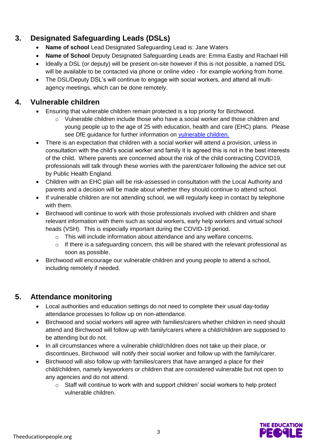# **3. Designated Safeguarding Leads (DSLs)**

- **Name of school** Lead Designated Safeguarding Lead is: Jane Waters
- **Name of School** Deputy Designated Safeguarding Leads are: Emma Easby and Rachael Hill
- Ideally a DSL (or deputy) will be present on-site however if this is not possible, a named DSL will be available to be contacted via phone or online video - for example working from home.
- The DSL/Deputy DSL's will continue to engage with social workers, and attend all multiagency meetings, which can be done remotely.

# **4. Vulnerable children**

- Ensuring that vulnerable children remain protected is a top priority for Birchwood.
	- $\circ$  Vulnerable children include those who have a social worker and those children and young people up to the age of 25 with education, health and care (EHC) plans. Please see DfE guidance for further information on [vulnerable children.](https://www.gov.uk/government/publications/coronavirus-covid-19-guidance-on-vulnerable-children-and-young-people/coronavirus-covid-19-guidance-on-vulnerable-children-and-young-people)
- There is an expectation that children with a social worker will attend a provision, unless in consultation with the child's social worker and family it is agreed this is not in the best interests of the child. Where parents are concerned about the risk of the child contracting COVID19, professionals will talk through these worries with the parent/carer following the advice set out by Public Health England.
- Children with an EHC plan will be risk-assessed in consultation with the Local Authority and parents and a decision will be made about whether they should continue to attend school.
- If vulnerable children are not attending school, we will regularly keep in contact by telephone with them.
- Birchwood will continue to work with those professionals involved with children and share relevant information with them such as social workers, early help workers and virtual school heads (VSH). This is especially important during the COVID-19 period.
	- o This will include information about attendance and any welfare concerns.
	- $\circ$  If there is a safeguarding concern, this will be shared with the relevant professional as soon as possible.
- Birchwood will encourage our vulnerable children and young people to attend a school, including remotely if needed.

# **5. Attendance monitoring**

- Local authorities and education settings do not need to complete their usual day-today attendance processes to follow up on non-attendance.
- Birchwood and social workers will agree with families/carers whether children in need should attend and Birchwood will follow up with family/carers where a child/children are supposed to be attending but do not.
- In all circumstances where a vulnerable child/children does not take up their place, or discontinues, Birchwood will notify their social worker and follow up with the family/carer.
- Birchwood will also follow up with families/carers that have arranged a place for their child/children, namely keyworkers or children that are considered vulnerable but not open to any agencies and do not attend.
	- $\circ$  Staff will continue to work with and support children' social workers to help protect vulnerable children.

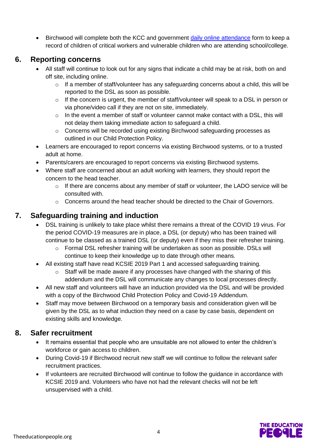• Birchwood will complete both the KCC and government [daily online attendance](file:///C:/Users/KandoA02/OneDrive%20-%20The%20Education%20People/Desktop/daily%20online%20attendance%20form.htm) form to keep a record of children of critical workers and vulnerable children who are attending school/college.

#### **6. Reporting concerns**

- All staff will continue to look out for any signs that indicate a child may be at risk, both on and off site, including online.
	- o If a member of staff/volunteer has any safeguarding concerns about a child, this will be reported to the DSL as soon as possible.
	- $\circ$  If the concern is urgent, the member of staff/volunteer will speak to a DSL in person or via phone/video call if they are not on site, immediately.
	- $\circ$  In the event a member of staff or volunteer cannot make contact with a DSL, this will not delay them taking immediate action to safeguard a child.
	- o Concerns will be recorded using existing Birchwood safeguarding processes as outlined in our Child Protection Policy.
- Learners are encouraged to report concerns via existing Birchwood systems, or to a trusted adult at home.
- Parents/carers are encouraged to report concerns via existing Birchwood systems.
- Where staff are concerned about an adult working with learners, they should report the concern to the head teacher.
	- $\circ$  If there are concerns about any member of staff or volunteer, the LADO service will be consulted with.
	- $\circ$  Concerns around the head teacher should be directed to the Chair of Governors.

#### **7. Safeguarding training and induction**

- DSL training is unlikely to take place whilst there remains a threat of the COVID 19 virus. For the period COVID-19 measures are in place, a DSL (or deputy) who has been trained will continue to be classed as a trained DSL (or deputy) even if they miss their refresher training.
	- o Formal DSL refresher training will be undertaken as soon as possible. DSLs will continue to keep their knowledge up to date through other means.
- All existing staff have read KCSIE 2019 Part 1 and accessed safeguarding training.
	- Staff will be made aware if any processes have changed with the sharing of this addendum and the DSL will communicate any changes to local processes directly.
- All new staff and volunteers will have an induction provided via the DSL and will be provided with a copy of the Birchwood Child Protection Policy and Covid-19 Addendum.
- Staff may move between Birchwood on a temporary basis and consideration given will be given by the DSL as to what induction they need on a case by case basis, dependent on existing skills and knowledge.

#### **8. Safer recruitment**

- It remains essential that people who are unsuitable are not allowed to enter the children's workforce or gain access to children.
- During Covid-19 if Birchwood recruit new staff we will continue to follow the relevant safer recruitment practices.
- If volunteers are recruited Birchwood will continue to follow the guidance in accordance with KCSIE 2019 and. Volunteers who have not had the relevant checks will not be left unsupervised with a child.

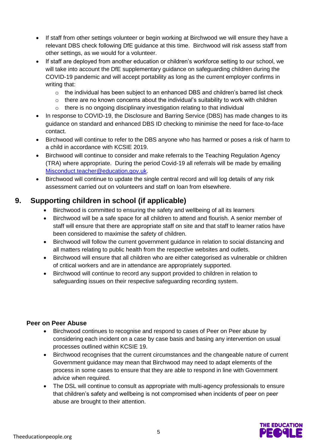- If staff from other settings volunteer or begin working at Birchwood we will ensure they have a relevant DBS check following DfE guidance at this time. Birchwood will risk assess staff from other settings, as we would for a volunteer.
- If staff are deployed from another education or children's workforce setting to our school, we will take into account the DfE supplementary guidance on safeguarding children during the COVID-19 pandemic and will accept portability as long as the current employer confirms in writing that:
	- $\circ$  the individual has been subject to an enhanced DBS and children's barred list check
	- $\circ$  there are no known concerns about the individual's suitability to work with children
	- o there is no ongoing disciplinary investigation relating to that individual
- In response to COVID-19, the Disclosure and Barring Service (DBS) has made changes to its guidance on standard and enhanced DBS ID checking to minimise the need for face-to-face contact.
- Birchwood will continue to refer to the DBS anyone who has harmed or poses a risk of harm to a child in accordance with KCSIE 2019.
- Birchwood will continue to consider and make referrals to the Teaching Regulation Agency (TRA) where appropriate. During the period Covid-19 all referrals will be made by emailing [Misconduct.teacher@education.gov.uk.](mailto:Misconduct.teacher@education.gov.uk)
- Birchwood will continue to update the single central record and will log details of any risk assessment carried out on volunteers and staff on loan from elsewhere.

## **9. Supporting children in school (if applicable)**

- Birchwood is committed to ensuring the safety and wellbeing of all its learners
- Birchwood will be a safe space for all children to attend and flourish. A senior member of staff will ensure that there are appropriate staff on site and that staff to learner ratios have been considered to maximise the safety of children.
- Birchwood will follow the current government guidance in relation to social distancing and all matters relating to public health from the respective websites and outlets.
- Birchwood will ensure that all children who are either categorised as vulnerable or children of critical workers and are in attendance are appropriately supported.
- Birchwood will continue to record any support provided to children in relation to safeguarding issues on their respective safeguarding recording system.

#### **Peer on Peer Abuse**

- Birchwood continues to recognise and respond to cases of Peer on Peer abuse by considering each incident on a case by case basis and basing any intervention on usual processes outlined within KCSIE 19.
- Birchwood recognises that the current circumstances and the changeable nature of current Government guidance may mean that Birchwood may need to adapt elements of the process in some cases to ensure that they are able to respond in line with Government advice when required.
- The DSL will continue to consult as appropriate with multi-agency professionals to ensure that children's safety and wellbeing is not compromised when incidents of peer on peer abuse are brought to their attention.

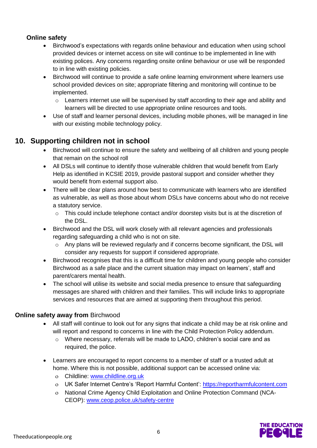#### **Online safety**

- Birchwood's expectations with regards online behaviour and education when using school provided devices or internet access on site will continue to be implemented in line with existing polices. Any concerns regarding onsite online behaviour or use will be responded to in line with existing policies.
- Birchwood will continue to provide a safe online learning environment where learners use school provided devices on site; appropriate filtering and monitoring will continue to be implemented.
	- $\circ$  Learners internet use will be supervised by staff according to their age and ability and learners will be directed to use appropriate online resources and tools.
- Use of staff and learner personal devices, including mobile phones, will be managed in line with our existing mobile technology policy.

## **10. Supporting children not in school**

- Birchwood will continue to ensure the safety and wellbeing of all children and young people that remain on the school roll
- All DSLs will continue to identify those vulnerable children that would benefit from Early Help as identified in KCSIE 2019, provide pastoral support and consider whether they would benefit from external support also.
- There will be clear plans around how best to communicate with learners who are identified as vulnerable, as well as those about whom DSLs have concerns about who do not receive a statutory service.
	- $\circ$  This could include telephone contact and/or doorstep visits but is at the discretion of the DSL.
- Birchwood and the DSL will work closely with all relevant agencies and professionals regarding safeguarding a child who is not on site.
	- $\circ$  Any plans will be reviewed regularly and if concerns become significant, the DSL will consider any requests for support if considered appropriate.
- Birchwood recognises that this is a difficult time for children and young people who consider Birchwood as a safe place and the current situation may impact on learners', staff and parent/carers mental health.
- The school will utilise its website and social media presence to ensure that safeguarding messages are shared with children and their families. This will include links to appropriate services and resources that are aimed at supporting them throughout this period.

#### **Online safety away from** Birchwood

- All staff will continue to look out for any signs that indicate a child may be at risk online and will report and respond to concerns in line with the Child Protection Policy addendum.
	- $\circ$  Where necessary, referrals will be made to LADO, children's social care and as required, the police.
- Learners are encouraged to report concerns to a member of staff or a trusted adult at home. Where this is not possible, additional support can be accessed online via:
	- Childline: [www.childline.org.uk](http://www.childline.org.uk/)
	- o UK Safer Internet Centre's 'Report Harmful Content': [https://reportharmfulcontent.com](https://reportharmfulcontent.com/)
	- National Crime Agency Child Exploitation and Online Protection Command (NCA-CEOP): [www.ceop.police.uk/safety-centre](https://www.ceop.police.uk/safety-centre/)

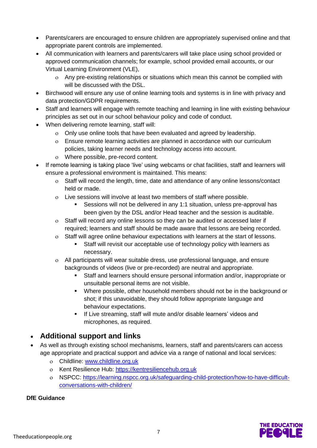- Parents/carers are encouraged to ensure children are appropriately supervised online and that appropriate parent controls are implemented.
- All communication with learners and parents/carers will take place using school provided or approved communication channels; for example, school provided email accounts, or our Virtual Learning Environment (VLE),
	- Any pre-existing relationships or situations which mean this cannot be complied with will be discussed with the DSL.
- Birchwood will ensure any use of online learning tools and systems is in line with privacy and data protection/GDPR requirements.
- Staff and learners will engage with remote teaching and learning in line with existing behaviour principles as set out in our school behaviour policy and code of conduct.
- When delivering remote learning, staff will:
	- Only use online tools that have been evaluated and agreed by leadership.
	- Ensure remote learning activities are planned in accordance with our curriculum policies, taking learner needs and technology access into account.
	- Where possible, pre-record content.
- If remote learning is taking place 'live' using webcams or chat facilities, staff and learners will ensure a professional environment is maintained. This means:
	- Staff will record the length, time, date and attendance of any online lessons/contact held or made.
	- Live sessions will involve at least two members of staff where possible.
		- Sessions will not be delivered in any 1:1 situation, unless pre-approval has been given by the DSL and/or Head teacher and the session is auditable.
	- Staff will record any online lessons so they can be audited or accessed later if required; learners and staff should be made aware that lessons are being recorded.
	- Staff will agree online behaviour expectations with learners at the start of lessons.
		- Staff will revisit our acceptable use of technology policy with learners as necessary.
	- All participants will wear suitable dress, use professional language, and ensure backgrounds of videos (live or pre-recorded) are neutral and appropriate.
		- Staff and learners should ensure personal information and/or, inappropriate or unsuitable personal items are not visible.
		- Where possible, other household members should not be in the background or shot; if this unavoidable, they should follow appropriate language and behaviour expectations.
		- **If Live streaming, staff will mute and/or disable learners' videos and** microphones, as required.

#### **Additional support and links**

- As well as through existing school mechanisms, learners, staff and parents/carers can access age appropriate and practical support and advice via a range of national and local services:
	- Childline: [www.childline.org.uk](https://www.childline.org.uk/)
	- o Kent Resilience Hub: [https://kentresiliencehub.org.uk](https://kentresiliencehub.org.uk/)
	- NSPCC: [https://learning.nspcc.org.uk/safeguarding-child-protection/how-to-have-difficult](https://learning.nspcc.org.uk/safeguarding-child-protection/how-to-have-difficult-conversations-with-children/)[conversations-with-children/](https://learning.nspcc.org.uk/safeguarding-child-protection/how-to-have-difficult-conversations-with-children/)

#### **DfE Guidance**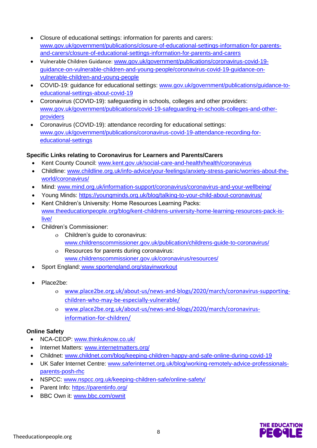- Closure of educational settings: information for parents and carers: [www.gov.uk/government/publications/closure-of-educational-settings-information-for-parents](https://www.gov.uk/government/publications/closure-of-educational-settings-information-for-parents-and-carers/closure-of-educational-settings-information-for-parents-and-carers)[and-carers/closure-of-educational-settings-information-for-parents-and-carers](https://www.gov.uk/government/publications/closure-of-educational-settings-information-for-parents-and-carers/closure-of-educational-settings-information-for-parents-and-carers)
- Vulnerable Children Guidance: [www.gov.uk/government/publications/coronavirus-covid-19](https://www.gov.uk/government/publications/coronavirus-covid-19-guidance-on-vulnerable-children-and-young-people/coronavirus-covid-19-guidance-on-vulnerable-children-and-young-people) [guidance-on-vulnerable-children-and-young-people/coronavirus-covid-19-guidance-on](https://www.gov.uk/government/publications/coronavirus-covid-19-guidance-on-vulnerable-children-and-young-people/coronavirus-covid-19-guidance-on-vulnerable-children-and-young-people)[vulnerable-children-and-young-people](https://www.gov.uk/government/publications/coronavirus-covid-19-guidance-on-vulnerable-children-and-young-people/coronavirus-covid-19-guidance-on-vulnerable-children-and-young-people)
- COVID-19: guidance for educational settings: [www.gov.uk/government/publications/guidance-to](http://www.gov.uk/government/publications/guidance-to-educational-settings-about-covid-19)[educational-settings-about-covid-19](http://www.gov.uk/government/publications/guidance-to-educational-settings-about-covid-19)
- Coronavirus (COVID-19): safeguarding in schools, colleges and other providers: [www.gov.uk/government/publications/covid-19-safeguarding-in-schools-colleges-and-other](http://www.gov.uk/government/publications/covid-19-safeguarding-in-schools-colleges-and-other-providers)[providers](http://www.gov.uk/government/publications/covid-19-safeguarding-in-schools-colleges-and-other-providers)
- Coronavirus (COVID-19): attendance recording for educational settings: [www.gov.uk/government/publications/coronavirus-covid-19-attendance-recording-for](http://www.gov.uk/government/publications/coronavirus-covid-19-attendance-recording-for-educational-settings)[educational-settings](http://www.gov.uk/government/publications/coronavirus-covid-19-attendance-recording-for-educational-settings)

#### **Specific Links relating to Coronavirus for Learners and Parents/Carers**

- Kent County Council: [www.kent.gov.uk/social-care-and-health/health/coronavirus](http://www.kent.gov.uk/social-care-and-health/health/coronavirus)
- Childline: [www.childline.org.uk/info-advice/your-feelings/anxiety-stress-panic/worries-about-the](http://www.childline.org.uk/info-advice/your-feelings/anxiety-stress-panic/worries-about-the-world/coronavirus/)[world/coronavirus/](http://www.childline.org.uk/info-advice/your-feelings/anxiety-stress-panic/worries-about-the-world/coronavirus/)
- Mind: [www.mind.org.uk/information-support/coronavirus/coronavirus-and-your-wellbeing/](http://www.mind.org.uk/information-support/coronavirus/coronavirus-and-your-wellbeing/)
- Young Minds: <https://youngminds.org.uk/blog/talking-to-your-child-about-coronavirus/>
- Kent Children's University: Home Resources Learning Packs: [www.theeducationpeople.org/blog/kent-childrens-university-home-learning-resources-pack-is](http://www.theeducationpeople.org/blog/kent-childrens-university-home-learning-resources-pack-is-live/)[live/](http://www.theeducationpeople.org/blog/kent-childrens-university-home-learning-resources-pack-is-live/)
- Children's Commissioner:
	- Children's guide to coronavirus: [www.childrenscommissioner.gov.uk/publication/childrens-guide-to-coronavirus/](http://www.childrenscommissioner.gov.uk/publication/childrens-guide-to-coronavirus/)
	- Resources for parents during coronavirus: [www.childrenscommissioner.gov.uk/coronavirus/resources/](http://www.childrenscommissioner.gov.uk/coronavirus/resources/)
- Sport England: [www.sportengland.org/stayinworkout](http://www.sportengland.org/stayinworkout)
- Place2be:
	- [www.place2be.org.uk/about-us/news-and-blogs/2020/march/coronavirus-supporting](http://www.place2be.org.uk/about-us/news-and-blogs/2020/march/coronavirus-supporting-children-who-may-be-especially-vulnerable/)[children-who-may-be-especially-vulnerable/](http://www.place2be.org.uk/about-us/news-and-blogs/2020/march/coronavirus-supporting-children-who-may-be-especially-vulnerable/)
	- [www.place2be.org.uk/about-us/news-and-blogs/2020/march/coronavirus](http://www.place2be.org.uk/about-us/news-and-blogs/2020/march/coronavirus-information-for-children/)[information-for-children/](http://www.place2be.org.uk/about-us/news-and-blogs/2020/march/coronavirus-information-for-children/)

#### **Online Safety**

- NCA-CEOP: [www.thinkuknow.co.uk/](https://www.thinkuknow.co.uk/)
- Internet Matters: [www.internetmatters.org/](https://www.internetmatters.org/)
- Childnet: [www.childnet.com/blog/keeping-children-happy-and-safe-online-during-covid-19](http://www.childnet.com/blog/keeping-children-happy-and-safe-online-during-covid-19)
- UK Safer Internet Centre: [www.saferinternet.org.uk/blog/working-remotely-advice-professionals](https://www.saferinternet.org.uk/blog/working-remotely-advice-professionals-parents-posh-rhc)[parents-posh-rhc](https://www.saferinternet.org.uk/blog/working-remotely-advice-professionals-parents-posh-rhc)
- NSPCC: [www.nspcc.org.uk/keeping-children-safe/online-safety/](http://www.nspcc.org.uk/keeping-children-safe/online-safety/)
- Parent Info:<https://parentinfo.org/>
- BBC Own it: [www.bbc.com/ownit](https://www.bbc.com/ownit)